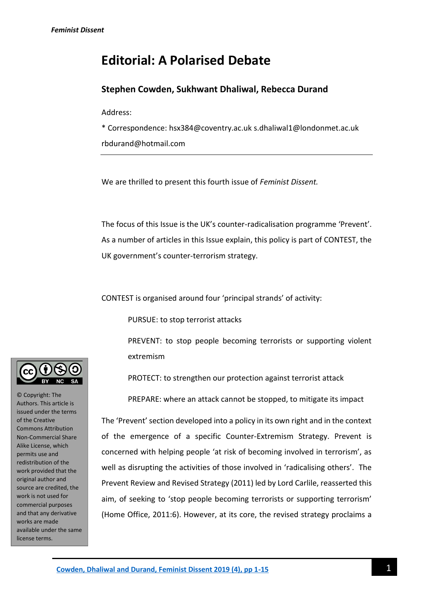# **Editorial: A Polarised Debate**

## **Stephen Cowden, Sukhwant Dhaliwal, Rebecca Durand**

Address:

\* Correspondence: hsx384@coventry.ac.uk s.dhaliwal1@londonmet.ac.uk rbdurand@hotmail.com

We are thrilled to present this fourth issue of *Feminist Dissent.*

The focus of this Issue is the UK's counter-radicalisation programme 'Prevent'. As a number of articles in this Issue explain, this policy is part of CONTEST, the UK government's counter-terrorism strategy.

CONTEST is organised around four 'principal strands' of activity:

PURSUE: to stop terrorist attacks

PREVENT: to stop people becoming terrorists or supporting violent extremism

PROTECT: to strengthen our protection against terrorist attack

PREPARE: where an attack cannot be stopped, to mitigate its impact

The 'Prevent' section developed into a policy in its own right and in the context of the emergence of a specific Counter-Extremism Strategy. Prevent is concerned with helping people 'at risk of becoming involved in terrorism', as well as disrupting the activities of those involved in 'radicalising others'. The Prevent Review and Revised Strategy (2011) led by Lord Carlile, reasserted this aim, of seeking to 'stop people becoming terrorists or supporting terrorism' (Home Office, 2011:6). However, at its core, the revised strategy proclaims a



© Copyright: The Authors. This article is issued under the terms of the Creative Commons Attribution Non-Commercial Share Alike License, which permits use and redistribution of the work provided that the original author and source are credited, the work is not used for commercial purposes and that any derivative works are made available under the same license terms.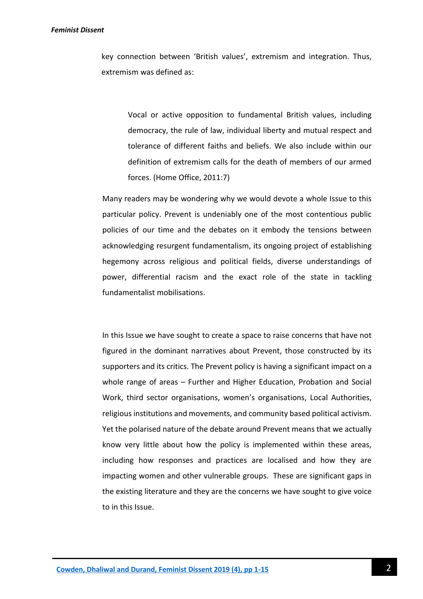#### *Feminist Dissent*

key connection between 'British values', extremism and integration. Thus, extremism was defined as:

Vocal or active opposition to fundamental British values, including democracy, the rule of law, individual liberty and mutual respect and tolerance of different faiths and beliefs. We also include within our definition of extremism calls for the death of members of our armed forces. (Home Office, 2011:7)

Many readers may be wondering why we would devote a whole Issue to this particular policy. Prevent is undeniably one of the most contentious public policies of our time and the debates on it embody the tensions between acknowledging resurgent fundamentalism, its ongoing project of establishing hegemony across religious and political fields, diverse understandings of power, differential racism and the exact role of the state in tackling fundamentalist mobilisations.

In this Issue we have sought to create a space to raise concerns that have not figured in the dominant narratives about Prevent, those constructed by its supporters and its critics. The Prevent policy is having a significant impact on a whole range of areas – Further and Higher Education, Probation and Social Work, third sector organisations, women's organisations, Local Authorities, religious institutions and movements, and community based political activism. Yet the polarised nature of the debate around Prevent means that we actually know very little about how the policy is implemented within these areas, including how responses and practices are localised and how they are impacting women and other vulnerable groups. These are significant gaps in the existing literature and they are the concerns we have sought to give voice to in this Issue.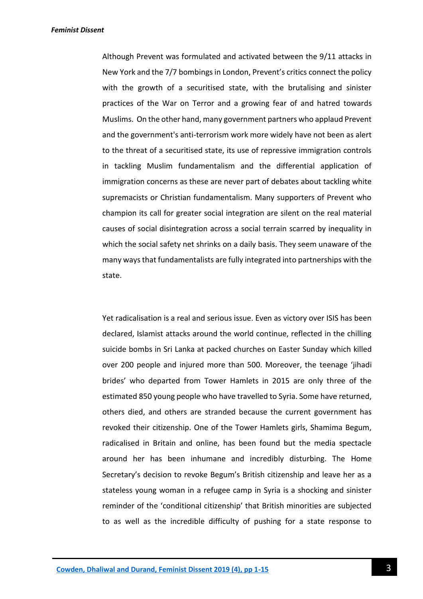Although Prevent was formulated and activated between the 9/11 attacks in New York and the 7/7 bombings in London, Prevent's critics connect the policy with the growth of a securitised state, with the brutalising and sinister practices of the War on Terror and a growing fear of and hatred towards Muslims. On the other hand, many government partners who applaud Prevent and the government's anti-terrorism work more widely have not been as alert to the threat of a securitised state, its use of repressive immigration controls in tackling Muslim fundamentalism and the differential application of immigration concerns as these are never part of debates about tackling white supremacists or Christian fundamentalism. Many supporters of Prevent who champion its call for greater social integration are silent on the real material causes of social disintegration across a social terrain scarred by inequality in which the social safety net shrinks on a daily basis. They seem unaware of the many ways that fundamentalists are fully integrated into partnerships with the state.

Yet radicalisation is a real and serious issue. Even as victory over ISIS has been declared, Islamist attacks around the world continue, reflected in the chilling suicide bombs in Sri Lanka at packed churches on Easter Sunday which killed over 200 people and injured more than 500. Moreover, the teenage 'jihadi brides' who departed from Tower Hamlets in 2015 are only three of the estimated 850 young people who have travelled to Syria. Some have returned, others died, and others are stranded because the current government has revoked their citizenship. One of the Tower Hamlets girls, Shamima Begum, radicalised in Britain and online, has been found but the media spectacle around her has been inhumane and incredibly disturbing. The Home Secretary's decision to revoke Begum's British citizenship and leave her as a stateless young woman in a refugee camp in Syria is a shocking and sinister reminder of the 'conditional citizenship' that British minorities are subjected to as well as the incredible difficulty of pushing for a state response to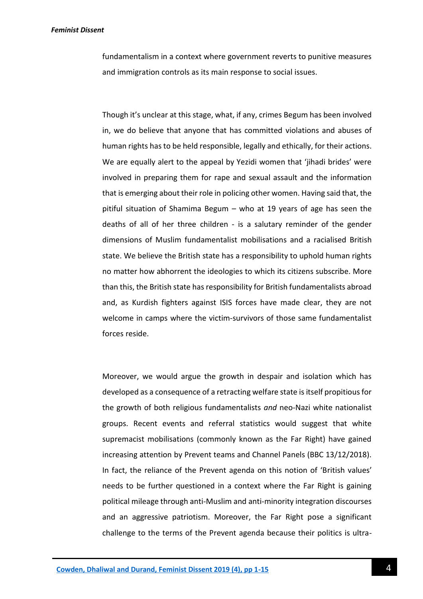fundamentalism in a context where government reverts to punitive measures and immigration controls as its main response to social issues.

Though it's unclear at this stage, what, if any, crimes Begum has been involved in, we do believe that anyone that has committed violations and abuses of human rights has to be held responsible, legally and ethically, for their actions. We are equally alert to the appeal by Yezidi women that 'jihadi brides' were involved in preparing them for rape and sexual assault and the information that is emerging about their role in policing other women. Having said that, the pitiful situation of Shamima Begum – who at 19 years of age has seen the deaths of all of her three children - is a salutary reminder of the gender dimensions of Muslim fundamentalist mobilisations and a racialised British state. We believe the British state has a responsibility to uphold human rights no matter how abhorrent the ideologies to which its citizens subscribe. More than this, the British state has responsibility for British fundamentalists abroad and, as Kurdish fighters against ISIS forces have made clear, they are not welcome in camps where the victim-survivors of those same fundamentalist forces reside.

Moreover, we would argue the growth in despair and isolation which has developed as a consequence of a retracting welfare state is itself propitious for the growth of both religious fundamentalists *and* neo-Nazi white nationalist groups. Recent events and referral statistics would suggest that white supremacist mobilisations (commonly known as the Far Right) have gained increasing attention by Prevent teams and Channel Panels (BBC 13/12/2018). In fact, the reliance of the Prevent agenda on this notion of 'British values' needs to be further questioned in a context where the Far Right is gaining political mileage through anti-Muslim and anti-minority integration discourses and an aggressive patriotism. Moreover, the Far Right pose a significant challenge to the terms of the Prevent agenda because their politics is ultra-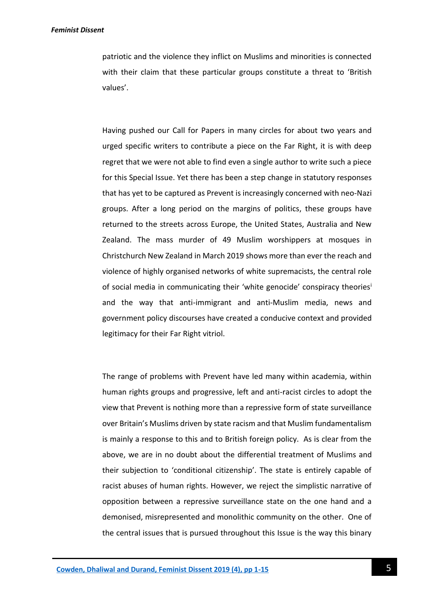patriotic and the violence they inflict on Muslims and minorities is connected with their claim that these particular groups constitute a threat to 'British values'.

Having pushed our Call for Papers in many circles for about two years and urged specific writers to contribute a piece on the Far Right, it is with deep regret that we were not able to find even a single author to write such a piece for this Special Issue. Yet there has been a step change in statutory responses that has yet to be captured as Prevent is increasingly concerned with neo-Nazi groups. After a long period on the margins of politics, these groups have returned to the streets across Europe, the United States, Australia and New Zealand. The mass murder of 49 Muslim worshippers at mosques in Christchurch New Zealand in March 2019 shows more than ever the reach and violence of highly organised networks of white supremacists, the central role of social media in communicating their 'white genocide' conspiracy theories<sup>i</sup> and the way that anti-immigrant and anti-Muslim media, news and government policy discourses have created a conducive context and provided legitimacy for their Far Right vitriol.

The range of problems with Prevent have led many within academia, within human rights groups and progressive, left and anti-racist circles to adopt the view that Prevent is nothing more than a repressive form of state surveillance over Britain's Muslims driven by state racism and that Muslim fundamentalism is mainly a response to this and to British foreign policy. As is clear from the above, we are in no doubt about the differential treatment of Muslims and their subjection to 'conditional citizenship'. The state is entirely capable of racist abuses of human rights. However, we reject the simplistic narrative of opposition between a repressive surveillance state on the one hand and a demonised, misrepresented and monolithic community on the other. One of the central issues that is pursued throughout this Issue is the way this binary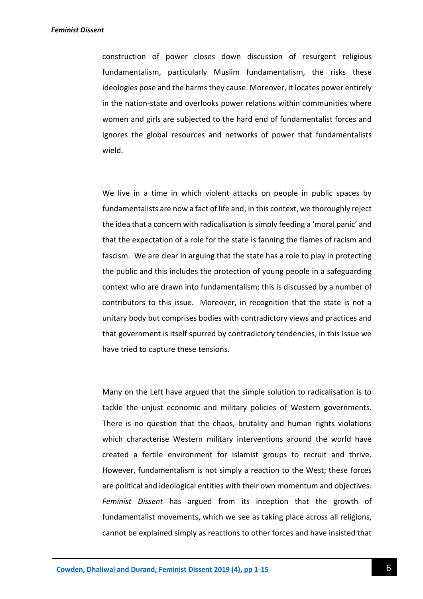construction of power closes down discussion of resurgent religious fundamentalism, particularly Muslim fundamentalism, the risks these ideologies pose and the harms they cause. Moreover, it locates power entirely in the nation-state and overlooks power relations within communities where women and girls are subjected to the hard end of fundamentalist forces and ignores the global resources and networks of power that fundamentalists wield.

We live in a time in which violent attacks on people in public spaces by fundamentalists are now a fact of life and, in this context, we thoroughly reject the idea that a concern with radicalisation is simply feeding a 'moral panic' and that the expectation of a role for the state is fanning the flames of racism and fascism. We are clear in arguing that the state has a role to play in protecting the public and this includes the protection of young people in a safeguarding context who are drawn into fundamentalism; this is discussed by a number of contributors to this issue. Moreover, in recognition that the state is not a unitary body but comprises bodies with contradictory views and practices and that government is itself spurred by contradictory tendencies, in this Issue we have tried to capture these tensions.

Many on the Left have argued that the simple solution to radicalisation is to tackle the unjust economic and military policies of Western governments. There is no question that the chaos, brutality and human rights violations which characterise Western military interventions around the world have created a fertile environment for Islamist groups to recruit and thrive. However, fundamentalism is not simply a reaction to the West; these forces are political and ideological entities with their own momentum and objectives. *Feminist Dissent* has argued from its inception that the growth of fundamentalist movements, which we see as taking place across all religions, cannot be explained simply as reactions to other forces and have insisted that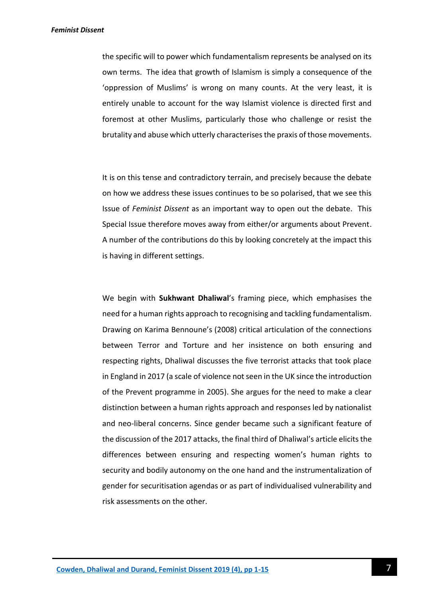the specific will to power which fundamentalism represents be analysed on its own terms. The idea that growth of Islamism is simply a consequence of the 'oppression of Muslims' is wrong on many counts. At the very least, it is entirely unable to account for the way Islamist violence is directed first and foremost at other Muslims, particularly those who challenge or resist the brutality and abuse which utterly characterises the praxis of those movements.

It is on this tense and contradictory terrain, and precisely because the debate on how we address these issues continues to be so polarised, that we see this Issue of *Feminist Dissent* as an important way to open out the debate. This Special Issue therefore moves away from either/or arguments about Prevent. A number of the contributions do this by looking concretely at the impact this is having in different settings.

We begin with **Sukhwant Dhaliwal**'s framing piece, which emphasises the need for a human rights approach to recognising and tackling fundamentalism. Drawing on Karima Bennoune's (2008) critical articulation of the connections between Terror and Torture and her insistence on both ensuring and respecting rights, Dhaliwal discusses the five terrorist attacks that took place in England in 2017 (a scale of violence not seen in the UK since the introduction of the Prevent programme in 2005). She argues for the need to make a clear distinction between a human rights approach and responses led by nationalist and neo-liberal concerns. Since gender became such a significant feature of the discussion of the 2017 attacks, the final third of Dhaliwal's article elicits the differences between ensuring and respecting women's human rights to security and bodily autonomy on the one hand and the instrumentalization of gender for securitisation agendas or as part of individualised vulnerability and risk assessments on the other.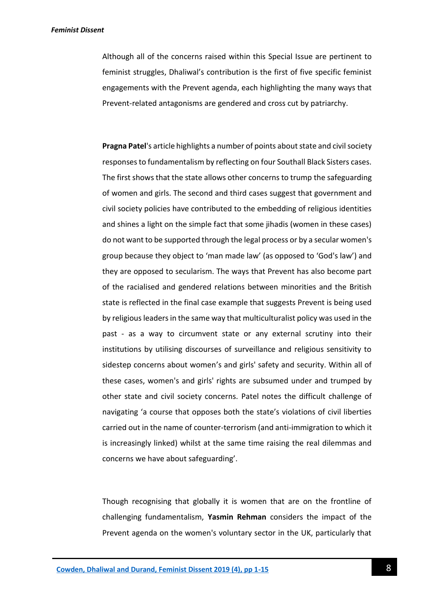Although all of the concerns raised within this Special Issue are pertinent to feminist struggles, Dhaliwal's contribution is the first of five specific feminist engagements with the Prevent agenda, each highlighting the many ways that Prevent-related antagonisms are gendered and cross cut by patriarchy.

**Pragna Patel**'s article highlights a number of points about state and civil society responses to fundamentalism by reflecting on four Southall Black Sisters cases. The first shows that the state allows other concerns to trump the safeguarding of women and girls. The second and third cases suggest that government and civil society policies have contributed to the embedding of religious identities and shines a light on the simple fact that some jihadis (women in these cases) do not want to be supported through the legal process or by a secular women's group because they object to 'man made law' (as opposed to 'God's law') and they are opposed to secularism. The ways that Prevent has also become part of the racialised and gendered relations between minorities and the British state is reflected in the final case example that suggests Prevent is being used by religious leaders in the same way that multiculturalist policy was used in the past - as a way to circumvent state or any external scrutiny into their institutions by utilising discourses of surveillance and religious sensitivity to sidestep concerns about women's and girls' safety and security. Within all of these cases, women's and girls' rights are subsumed under and trumped by other state and civil society concerns. Patel notes the difficult challenge of navigating 'a course that opposes both the state's violations of civil liberties carried out in the name of counter-terrorism (and anti-immigration to which it is increasingly linked) whilst at the same time raising the real dilemmas and concerns we have about safeguarding'.

Though recognising that globally it is women that are on the frontline of challenging fundamentalism, **Yasmin Rehman** considers the impact of the Prevent agenda on the women's voluntary sector in the UK, particularly that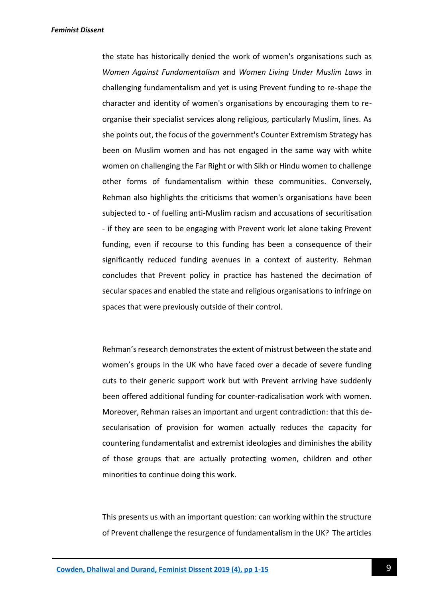the state has historically denied the work of women's organisations such as *Women Against Fundamentalism* and *Women Living Under Muslim Laws* in challenging fundamentalism and yet is using Prevent funding to re-shape the character and identity of women's organisations by encouraging them to reorganise their specialist services along religious, particularly Muslim, lines. As she points out, the focus of the government's Counter Extremism Strategy has been on Muslim women and has not engaged in the same way with white women on challenging the Far Right or with Sikh or Hindu women to challenge other forms of fundamentalism within these communities. Conversely, Rehman also highlights the criticisms that women's organisations have been subjected to - of fuelling anti-Muslim racism and accusations of securitisation - if they are seen to be engaging with Prevent work let alone taking Prevent funding, even if recourse to this funding has been a consequence of their significantly reduced funding avenues in a context of austerity. Rehman concludes that Prevent policy in practice has hastened the decimation of secular spaces and enabled the state and religious organisations to infringe on spaces that were previously outside of their control.

Rehman's research demonstrates the extent of mistrust between the state and women's groups in the UK who have faced over a decade of severe funding cuts to their generic support work but with Prevent arriving have suddenly been offered additional funding for counter-radicalisation work with women. Moreover, Rehman raises an important and urgent contradiction: that this desecularisation of provision for women actually reduces the capacity for countering fundamentalist and extremist ideologies and diminishes the ability of those groups that are actually protecting women, children and other minorities to continue doing this work.

This presents us with an important question: can working within the structure of Prevent challenge the resurgence of fundamentalism in the UK? The articles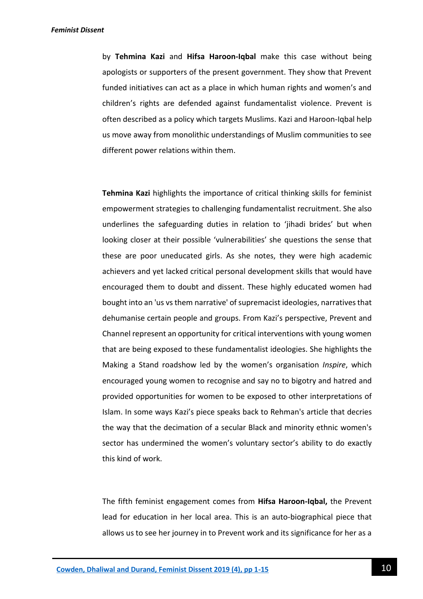by **Tehmina Kazi** and **Hifsa Haroon-Iqbal** make this case without being apologists or supporters of the present government. They show that Prevent funded initiatives can act as a place in which human rights and women's and children's rights are defended against fundamentalist violence. Prevent is often described as a policy which targets Muslims. Kazi and Haroon-Iqbal help us move away from monolithic understandings of Muslim communities to see different power relations within them.

**Tehmina Kazi** highlights the importance of critical thinking skills for feminist empowerment strategies to challenging fundamentalist recruitment. She also underlines the safeguarding duties in relation to 'jihadi brides' but when looking closer at their possible 'vulnerabilities' she questions the sense that these are poor uneducated girls. As she notes, they were high academic achievers and yet lacked critical personal development skills that would have encouraged them to doubt and dissent. These highly educated women had bought into an 'us vs them narrative' of supremacist ideologies, narratives that dehumanise certain people and groups. From Kazi's perspective, Prevent and Channel represent an opportunity for critical interventions with young women that are being exposed to these fundamentalist ideologies. She highlights the Making a Stand roadshow led by the women's organisation *Inspire*, which encouraged young women to recognise and say no to bigotry and hatred and provided opportunities for women to be exposed to other interpretations of Islam. In some ways Kazi's piece speaks back to Rehman's article that decries the way that the decimation of a secular Black and minority ethnic women's sector has undermined the women's voluntary sector's ability to do exactly this kind of work.

The fifth feminist engagement comes from **Hifsa Haroon-Iqbal,** the Prevent lead for education in her local area. This is an auto-biographical piece that allows us to see her journey in to Prevent work and its significance for her as a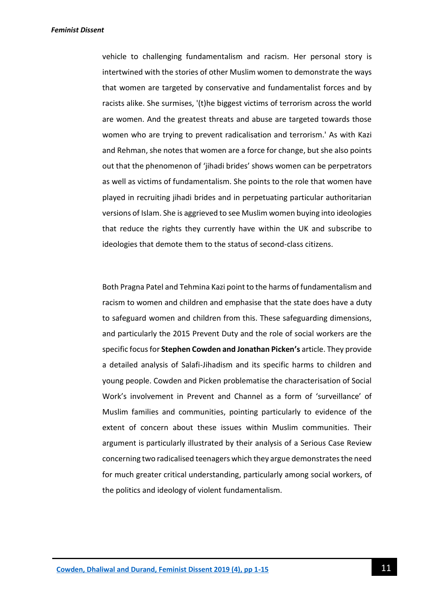vehicle to challenging fundamentalism and racism. Her personal story is intertwined with the stories of other Muslim women to demonstrate the ways that women are targeted by conservative and fundamentalist forces and by racists alike. She surmises, '(t)he biggest victims of terrorism across the world are women. And the greatest threats and abuse are targeted towards those women who are trying to prevent radicalisation and terrorism.' As with Kazi and Rehman, she notes that women are a force for change, but she also points out that the phenomenon of 'jihadi brides' shows women can be perpetrators as well as victims of fundamentalism. She points to the role that women have played in recruiting jihadi brides and in perpetuating particular authoritarian versions of Islam. She is aggrieved to see Muslim women buying into ideologies that reduce the rights they currently have within the UK and subscribe to ideologies that demote them to the status of second-class citizens.

Both Pragna Patel and Tehmina Kazi point to the harms of fundamentalism and racism to women and children and emphasise that the state does have a duty to safeguard women and children from this. These safeguarding dimensions, and particularly the 2015 Prevent Duty and the role of social workers are the specific focus for **Stephen Cowden and Jonathan Picken's** article. They provide a detailed analysis of Salafi-Jihadism and its specific harms to children and young people. Cowden and Picken problematise the characterisation of Social Work's involvement in Prevent and Channel as a form of 'surveillance' of Muslim families and communities, pointing particularly to evidence of the extent of concern about these issues within Muslim communities. Their argument is particularly illustrated by their analysis of a Serious Case Review concerning two radicalised teenagers which they argue demonstrates the need for much greater critical understanding, particularly among social workers, of the politics and ideology of violent fundamentalism.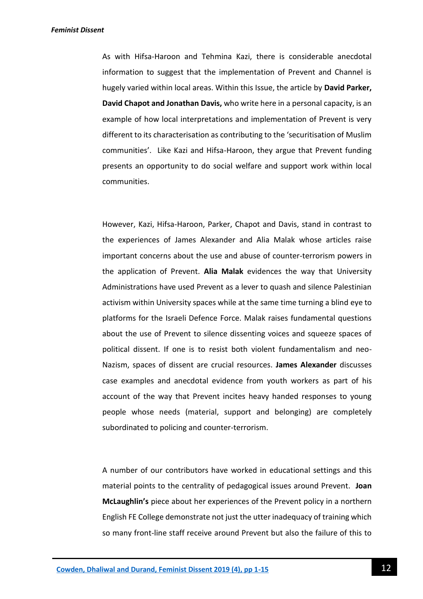As with Hifsa-Haroon and Tehmina Kazi, there is considerable anecdotal information to suggest that the implementation of Prevent and Channel is hugely varied within local areas. Within this Issue, the article by **David Parker, David Chapot and Jonathan Davis,** who write here in a personal capacity, is an example of how local interpretations and implementation of Prevent is very different to its characterisation as contributing to the 'securitisation of Muslim communities'. Like Kazi and Hifsa-Haroon, they argue that Prevent funding presents an opportunity to do social welfare and support work within local communities.

However, Kazi, Hifsa-Haroon, Parker, Chapot and Davis, stand in contrast to the experiences of James Alexander and Alia Malak whose articles raise important concerns about the use and abuse of counter-terrorism powers in the application of Prevent. **Alia Malak** evidences the way that University Administrations have used Prevent as a lever to quash and silence Palestinian activism within University spaces while at the same time turning a blind eye to platforms for the Israeli Defence Force. Malak raises fundamental questions about the use of Prevent to silence dissenting voices and squeeze spaces of political dissent. If one is to resist both violent fundamentalism and neo-Nazism, spaces of dissent are crucial resources. **James Alexander** discusses case examples and anecdotal evidence from youth workers as part of his account of the way that Prevent incites heavy handed responses to young people whose needs (material, support and belonging) are completely subordinated to policing and counter-terrorism.

A number of our contributors have worked in educational settings and this material points to the centrality of pedagogical issues around Prevent. **Joan McLaughlin's** piece about her experiences of the Prevent policy in a northern English FE College demonstrate not just the utter inadequacy of training which so many front-line staff receive around Prevent but also the failure of this to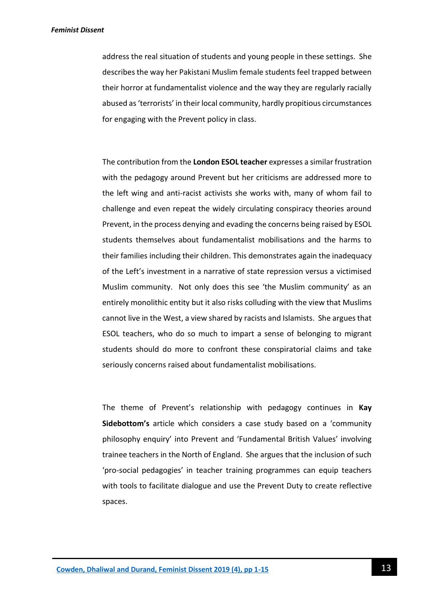address the real situation of students and young people in these settings. She describes the way her Pakistani Muslim female students feel trapped between their horror at fundamentalist violence and the way they are regularly racially abused as 'terrorists' in their local community, hardly propitious circumstances for engaging with the Prevent policy in class.

The contribution from the **London ESOL teacher** expresses a similar frustration with the pedagogy around Prevent but her criticisms are addressed more to the left wing and anti-racist activists she works with, many of whom fail to challenge and even repeat the widely circulating conspiracy theories around Prevent, in the process denying and evading the concerns being raised by ESOL students themselves about fundamentalist mobilisations and the harms to their families including their children. This demonstrates again the inadequacy of the Left's investment in a narrative of state repression versus a victimised Muslim community. Not only does this see 'the Muslim community' as an entirely monolithic entity but it also risks colluding with the view that Muslims cannot live in the West, a view shared by racists and Islamists. She argues that ESOL teachers, who do so much to impart a sense of belonging to migrant students should do more to confront these conspiratorial claims and take seriously concerns raised about fundamentalist mobilisations.

The theme of Prevent's relationship with pedagogy continues in **Kay Sidebottom's** article which considers a case study based on a 'community philosophy enquiry' into Prevent and 'Fundamental British Values' involving trainee teachers in the North of England. She argues that the inclusion of such 'pro-social pedagogies' in teacher training programmes can equip teachers with tools to facilitate dialogue and use the Prevent Duty to create reflective spaces.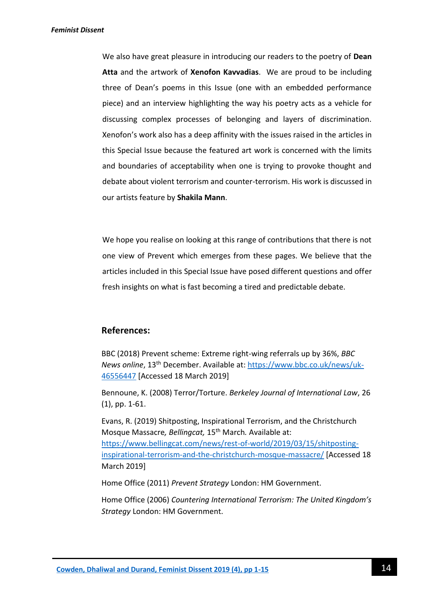We also have great pleasure in introducing our readers to the poetry of **Dean Atta** and the artwork of **Xenofon Kavvadias**. We are proud to be including three of Dean's poems in this Issue (one with an embedded performance piece) and an interview highlighting the way his poetry acts as a vehicle for discussing complex processes of belonging and layers of discrimination. Xenofon's work also has a deep affinity with the issues raised in the articles in this Special Issue because the featured art work is concerned with the limits and boundaries of acceptability when one is trying to provoke thought and debate about violent terrorism and counter-terrorism. His work is discussed in our artists feature by **Shakila Mann**.

We hope you realise on looking at this range of contributions that there is not one view of Prevent which emerges from these pages. We believe that the articles included in this Special Issue have posed different questions and offer fresh insights on what is fast becoming a tired and predictable debate.

### **References:**

BBC (2018) Prevent scheme: Extreme right-wing referrals up by 36%, *BBC News online*, 13th December. Available at: [https://www.bbc.co.uk/news/uk-](https://www.bbc.co.uk/news/uk-46556447)[46556447](https://www.bbc.co.uk/news/uk-46556447) [Accessed 18 March 2019]

Bennoune, K. (2008) Terror/Torture. *Berkeley Journal of International Law*, 26 (1), pp. 1-61.

Evans, R. (2019) Shitposting, Inspirational Terrorism, and the Christchurch Mosque Massacre*, Bellingcat,* 15th March*.* Available at: [https://www.bellingcat.com/news/rest-of-world/2019/03/15/shitposting](https://www.bellingcat.com/news/rest-of-world/2019/03/15/shitposting-inspirational-terrorism-and-the-christchurch-mosque-massacre/)[inspirational-terrorism-and-the-christchurch-mosque-massacre/](https://www.bellingcat.com/news/rest-of-world/2019/03/15/shitposting-inspirational-terrorism-and-the-christchurch-mosque-massacre/) [Accessed 18 March 2019]

Home Office (2011) *Prevent Strategy* London: HM Government.

Home Office (2006) *Countering International Terrorism: The United Kingdom's Strategy* London: HM Government.